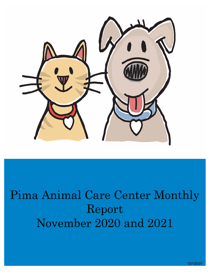

# Pima Animal Care Center Monthly Report November 2020 and 2021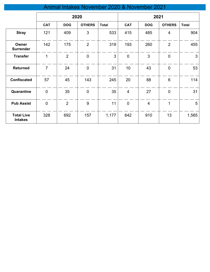## Animal Intakes November 2020 & November 2021

|                                     | 2020           |                |                | 2021         |                 |                |                |              |
|-------------------------------------|----------------|----------------|----------------|--------------|-----------------|----------------|----------------|--------------|
|                                     | <b>CAT</b>     | <b>DOG</b>     | <b>OTHERS</b>  | <b>Total</b> | <b>CAT</b>      | <b>DOG</b>     | <b>OTHERS</b>  | <b>Total</b> |
| <b>Stray</b>                        | 121            | 409            | 3              | 533          | 415             | 485            | 4              | 904          |
| Owner<br><b>Surrender</b>           | 142            | 175            | $\overline{2}$ | 319          | 193             | 260            | $\overline{2}$ | 455          |
| <b>Transfer</b>                     | 1              | $\overline{2}$ | $\mathbf 0$    | 3            | $\mathbf 0$     | 3              | $\mathbf 0$    | 3            |
| <b>Returned</b>                     | $\overline{7}$ | 24             | $\pmb{0}$      | 31           | 10 <sup>1</sup> | 43             | $\mathbf 0$    | 53           |
| <b>Confiscated</b>                  | 57             | 45             | 143            | 245          | 20              | 88             | 6              | 114          |
| Quarantine                          | $\mathbf 0$    | 35             | $\mathbf 0$    | 35           | $\overline{4}$  | 27             | $\mathbf 0$    | 31           |
| <b>Pub Assist</b>                   | $\mathbf 0$    | $\overline{2}$ | 9              | 11           | $\mathbf 0$     | $\overline{4}$ | $\mathbf{1}$   | 5            |
| <b>Total Live</b><br><b>Intakes</b> | 328            | 692            | 157            | 1,177        | 642             | 910            | 13             | 1,565        |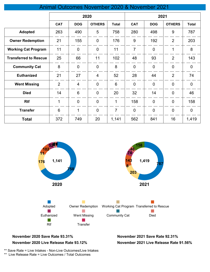#### Animal Outcomes November 2020 & November 2021

|                              | 2020           |                 |                |                | 2021           |                |                |                |
|------------------------------|----------------|-----------------|----------------|----------------|----------------|----------------|----------------|----------------|
|                              | <b>CAT</b>     | <b>DOG</b>      | <b>OTHERS</b>  | <b>Total</b>   | <b>CAT</b>     | <b>DOG</b>     | <b>OTHERS</b>  | <b>Total</b>   |
| <b>Adopted</b>               | 263            | 490             | 5              | 758            | 280            | 498            | 9              | 787            |
| <b>Owner Redemption</b>      | 21             | 155             | $\overline{0}$ | 176            | 9              | 192            | $\overline{2}$ | 203            |
| <b>Working Cat Program</b>   | 11             | $\overline{0}$  | $\overline{0}$ | 11             | $\overline{7}$ | $\overline{0}$ | 1              | 8              |
| <b>Transferred to Rescue</b> | 25             | 66              | 11             | 102            | 48             | 93             | $\overline{2}$ | 143            |
| <b>Community Cat</b>         | 8              | $\overline{0}$  | $\overline{0}$ | 8              | $\mathbf 0$    | $\overline{0}$ | $\overline{0}$ | $\overline{0}$ |
| <b>Euthanized</b>            | 21             | 27              | $\overline{4}$ | 52             | 28             | 44             | $\overline{2}$ | 74             |
| <b>Went Missing</b>          | $\overline{2}$ | $\overline{4}$  | $\overline{0}$ | $6\phantom{1}$ | $\mathbf 0$    | $\overline{0}$ | $\mathbf 0$    | $\mathbf 0$    |
| <b>Died</b>                  | 14             | $6\phantom{1}6$ | $\overline{0}$ | 20             | 32             | 14             | $\mathbf 0$    | 46             |
| <b>Rtf</b>                   | 1              | $\overline{0}$  | $\overline{0}$ | 1              | 158            | $\overline{0}$ | $\overline{0}$ | 158            |
| <b>Transfer</b>              | 6              | 1               | $\overline{0}$ | 7              | $\mathbf 0$    | $\overline{0}$ | $\mathbf 0$    | $\mathbf 0$    |
| <b>Total</b>                 | 372            | 749             | 20             | 1,141          | 562            | 841            | 16             | 1,419          |



#### **November 2020 Save Rate 93.31% November 2021 Save Rate 92.31%**

#### **November 2020 Live Release Rate 93.12%**

**November 2021 Live Release Rate 91.56%**

\*\* Save Rate = Live Intakes - Non-Live Outcomes/Live Intakes

\*\* Live Release Rate = Live Outcomes / Total Outcomes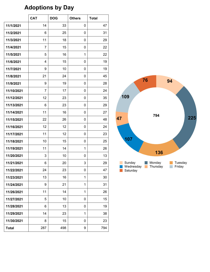## **Adoptions by Day**

|              | <b>CAT</b>     | <b>DOG</b> | <b>Others</b> | <b>Total</b> |
|--------------|----------------|------------|---------------|--------------|
| 11/1/2021    | 14             | 33         | 0             | 47           |
| 11/2/2021    | 6              | 25         | 0             | 31           |
| 11/3/2021    | 11             | 18         | 0             | 29           |
| 11/4/2021    | $\overline{7}$ | 15         | 0             | 22           |
| 11/5/2021    | 5              | 16         | 1             | 22           |
| 11/6/2021    | $\overline{4}$ | 15         | 0             | 19           |
| 11/7/2021    | 9              | 10         | 0             | 19           |
| 11/8/2021    | 21             | 24         | 0             | 45           |
| 11/9/2021    | 9              | 19         | 0             | 28           |
| 11/10/2021   | $\overline{7}$ | 17         | 0             | 24           |
| 11/12/2021   | 12             | 23         | 0             | 35           |
| 11/13/2021   | 6              | 23         | 0             | 29           |
| 11/14/2021   | 11             | 16         | 0             | 27           |
| 11/15/2021   | 22             | 26         | 0             | 48           |
| 11/16/2021   | 12             | 12         | 0             | 24           |
| 11/17/2021   | 11             | 12         | 0             | 23           |
| 11/18/2021   | 10             | 15         | 0             | 25           |
| 11/19/2021   | 11             | 14         | 1             | 26           |
| 11/20/2021   | 3              | 10         | 0             | 13           |
| 11/21/2021   | 6              | 20         | 3             | 29           |
| 11/22/2021   | 24             | 23         | 0             | 47           |
| 11/23/2021   | 13             | 16         | 1             | 30           |
| 11/24/2021   | 9              | 21         | 1             | 31           |
| 11/26/2021   | 11             | 14         | 1             | 26           |
| 11/27/2021   | 5              | 10         | 0             | 15           |
| 11/28/2021   | 6              | 13         | 0             | 19           |
| 11/29/2021   | 14             | 23         | 1             | 38           |
| 11/30/2021   | 8              | 15         | 0             | 23           |
| <b>Total</b> | 287            | 498        | 9             | 794          |

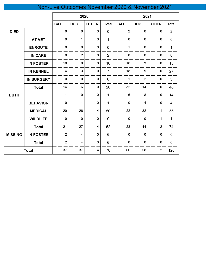## Non-Live Outcomes November 2020 & November 2021

|                |                   | 2020                    |                         |                         | 2021           |                |                |                |                |
|----------------|-------------------|-------------------------|-------------------------|-------------------------|----------------|----------------|----------------|----------------|----------------|
|                |                   | <b>CAT</b>              | <b>DOG</b>              | <b>OTHER</b>            | <b>Total</b>   | <b>CAT</b>     | <b>DOG</b>     | <b>OTHER</b>   | <b>Total</b>   |
| <b>DIED</b>    |                   | $\pmb{0}$               | $\mathbf 0$             | 0                       | $\overline{0}$ | $\overline{2}$ | $\mathbf 0$    | $\mathbf 0$    | $\overline{2}$ |
|                | <b>AT VET</b>     | $\mathbf 0$             | $\mathbf{1}$            | $\mathbf 0$             | $\mathbf{1}$   | $\mathbf 0$    | $\mathbf 0$    | $\mathbf 0$    | $\pmb{0}$      |
|                | <b>ENROUTE</b>    | $\pmb{0}$               | $\mathbf 0$             | $\mathbf 0$             | $\overline{0}$ | $\mathbf{1}$   | $\mathbf 0$    | $\mathbf 0$    | $\mathbf{1}$   |
|                | <b>IN CARE</b>    | $\mathbf 0$             | $\overline{2}$          | $\mathbf 0$             | $\overline{2}$ | $\mathbf 0$    | $\mathbf 0$    | $\mathbf 0$    | $\mathbf 0$    |
|                | <b>IN FOSTER</b>  | 10                      | $\mathbf 0$             | $\pmb{0}$               | 10             | 10             | 3              | $\pmb{0}$      | 13             |
|                | <b>IN KENNEL</b>  | $\overline{\mathbf{4}}$ | $\mathbf{3}$            | $\pmb{0}$               | $\overline{7}$ | 18             | 9              | $\pmb{0}$      | 27             |
|                | <b>IN SURGERY</b> | $\mathbf 0$             | $\mathbf 0$             | $\pmb{0}$               | $\overline{0}$ | $\mathbf{1}$   | $\overline{2}$ | $\mathbf 0$    | $\overline{3}$ |
|                | <b>Total</b>      | 14                      | $6\phantom{1}$          | $\pmb{0}$               | 20             | 32             | 14             | $\mathbf 0$    | 46             |
| <b>EUTH</b>    |                   | $\mathbf{1}$            | $\mathbf 0$             | $\mathbf 0$             | $\mathbf{1}$   | $6\phantom{1}$ | 8              | $\mathbf 0$    | 14             |
|                | <b>BEHAVIOR</b>   | $\mathbf 0$             | $\mathbf{1}$            | 0                       | $\mathbf{1}$   | $\overline{0}$ | $\overline{4}$ | $\mathbf 0$    | $\overline{4}$ |
|                | <b>MEDICAL</b>    | 20                      | 26                      | 4                       | 50             | 22             | 32             | 1              | 55             |
|                | <b>WILDLIFE</b>   | $\pmb{0}$               | $\mathbf 0$             | $\pmb{0}$               | $\mathbf 0$    | $\pmb{0}$      | $\mathbf 0$    | $\mathbf{1}$   | $\mathbf{1}$   |
|                | <b>Total</b>      | 21                      | 27                      | $\overline{\mathbf{4}}$ | 52             | 28             | 44             | $\overline{2}$ | 74             |
| <b>MISSING</b> | <b>IN FOSTER</b>  | $\overline{2}$          | $\overline{\mathbf{4}}$ | $\pmb{0}$               | $6\phantom{a}$ | $\mathbf 0$    | $\mathbf 0$    | $\pmb{0}$      | $\mathbf 0$    |
|                | <b>Total</b>      | $\overline{2}$          | $\overline{4}$          | $\pmb{0}$               | $6\phantom{a}$ | $\mathbf 0$    | $\mathbf 0$    | $\pmb{0}$      | $\mathbf 0$    |
|                | <b>Total</b>      | 37                      | 37                      | 4                       | 78             | 60             | 58             | $\overline{2}$ | 120            |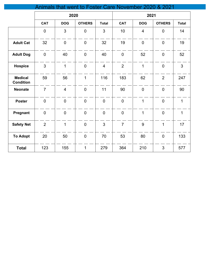## Animals that went to Foster Care November 2020 & 2021

|                                    | 2020           |                |                | 2021           |                |                |                |                |
|------------------------------------|----------------|----------------|----------------|----------------|----------------|----------------|----------------|----------------|
|                                    | <b>CAT</b>     | <b>DOG</b>     | <b>OTHERS</b>  | <b>Total</b>   | <b>CAT</b>     | <b>DOG</b>     | <b>OTHERS</b>  | <b>Total</b>   |
|                                    | $\overline{0}$ | $\mathbf{3}$   | $\overline{0}$ | 3              | 10             | $\overline{4}$ | $\overline{0}$ | 14             |
| <b>Adult Cat</b>                   | 32             | $\overline{0}$ | $\mathbf 0$    | 32             | 19             | $\overline{0}$ | $\overline{0}$ | 19             |
| <b>Adult Dog</b>                   | $\overline{0}$ | 40             | $\overline{0}$ | 40             | $\overline{0}$ | 52             | $\overline{0}$ | 52             |
| <b>Hospice</b>                     | $\overline{3}$ | $\overline{1}$ | $\overline{0}$ | $\overline{4}$ | $\overline{2}$ | $\mathbf{1}$   | $\mathbf 0$    | $\overline{3}$ |
| <b>Medical</b><br><b>Condition</b> | 59             | 56             | $\mathbf{1}$   | 116            | 183            | 62             | $\overline{2}$ | 247            |
| <b>Neonate</b>                     | $\overline{7}$ | $\overline{4}$ | $\mathbf 0$    | 11             | 90             | $\mathbf 0$    | $\mathbf 0$    | 90             |
| <b>Poster</b>                      | $\mathbf 0$    | $\mathbf 0$    | $\mathbf 0$    | $\overline{0}$ | $\mathbf 0$    | $\mathbf{1}$   | $\mathbf 0$    | $\mathbf{1}$   |
| Pregnant                           | $\mathbf 0$    | $\mathbf 0$    | $\mathbf 0$    | $\overline{0}$ | $\mathbf 0$    | $\mathbf{1}$   | $\mathbf 0$    | $\mathbf{1}$   |
| <b>Safety Net</b>                  | $\overline{2}$ | $\overline{1}$ | $\mathbf 0$    | 3              | $\overline{7}$ | 9              | $\mathbf{1}$   | 17             |
| <b>To Adopt</b>                    | 20             | 50             | $\overline{0}$ | 70             | 53             | 80             | $\mathbf 0$    | 133            |
| <b>Total</b>                       | 123            | 155            | $\overline{1}$ | 279            | 364            | 210            | $\overline{3}$ | 577            |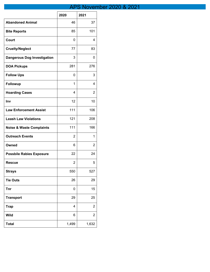## APS November 2020 & 2021

|                                     | 2020  | 2021           |
|-------------------------------------|-------|----------------|
| <b>Abandoned Animal</b>             | 46    | 37             |
| <b>Bite Reports</b>                 | 85    | 101            |
| Court                               | 0     | 4              |
| <b>Cruelty/Neglect</b>              | 77    | 83             |
| <b>Dangerous Dog Investigation</b>  | 3     | 0              |
| <b>DOA Pickups</b>                  | 281   | 276            |
| <b>Follow Ups</b>                   | 0     | 3              |
| <b>Followup</b>                     | 1     | 4              |
| <b>Hoarding Cases</b>               | 4     | 2              |
| Inv                                 | 12    | 10             |
| <b>Law Enforcement Assist</b>       | 111   | 106            |
| <b>Leash Law Violations</b>         | 121   | 208            |
| <b>Noise &amp; Waste Complaints</b> | 111   | 166            |
| <b>Outreach Events</b>              | 2     | 1              |
| Owned                               | 6     | 2              |
| <b>Possbile Rabies Exposure</b>     | 22    | 24             |
| <b>Rescue</b>                       | 2     | 5              |
| <b>Strays</b>                       | 550   | 527            |
| <b>Tie Outs</b>                     | 26    | 29             |
| Tnr                                 | 0     | 15             |
| <b>Transport</b>                    | 29    | 25             |
| <b>Trap</b>                         | 4     | $\overline{2}$ |
| <b>Wild</b>                         | 6     | $\overline{2}$ |
| <b>Total</b>                        | 1,499 | 1,632          |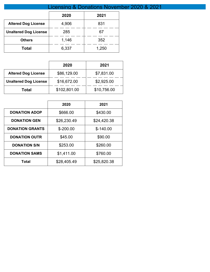|                              | <b>Licensing &amp; Donations Novemb</b> |       |  |  |  |
|------------------------------|-----------------------------------------|-------|--|--|--|
|                              | 2020<br>2021                            |       |  |  |  |
| <b>Altered Dog License</b>   | 4,906                                   | 831   |  |  |  |
| <b>Unaltered Dog License</b> | 285                                     | 67    |  |  |  |
| <b>Others</b>                | 1,146                                   | 352   |  |  |  |
| Total                        | 6,337                                   | 1,250 |  |  |  |

|                              | 2020         | 2021        |
|------------------------------|--------------|-------------|
| <b>Altered Dog License</b>   | \$86,129.00  | \$7,831.00  |
| <b>Unaltered Dog License</b> | \$16,672.00  | \$2,925.00  |
| Total                        | \$102,801.00 | \$10,756.00 |

|                        | 2020        | 2021        |
|------------------------|-------------|-------------|
| <b>DONATION ADOP</b>   | \$666.00    | \$430.00    |
| <b>DONATION GEN</b>    | \$26,230.49 | \$24,420.38 |
| <b>DONATION GRANTS</b> | $$ -200.00$ | $$-140.00$  |
| <b>DONATION OUTR</b>   | \$45.00     | \$90.00     |
| <b>DONATION S/N</b>    | \$253.00    | \$260.00    |
| <b>DONATION SAMS</b>   | \$1,411.00  | \$760.00    |
| Total                  | \$28,405.49 | \$25,820.38 |

## ler 2020 & 2021